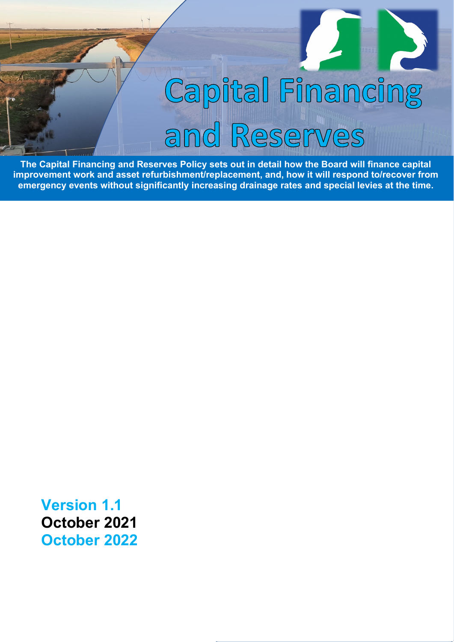# Capital Financing and Reserves

**The Capital Financing and Reserves Policy sets out in detail how the Board will finance capital improvement work and asset refurbishment/replacement, and, how it will respond to/recover from emergency events without significantly increasing drainage rates and special levies at the time.**

**Version 1.1 October 2021 October 2022**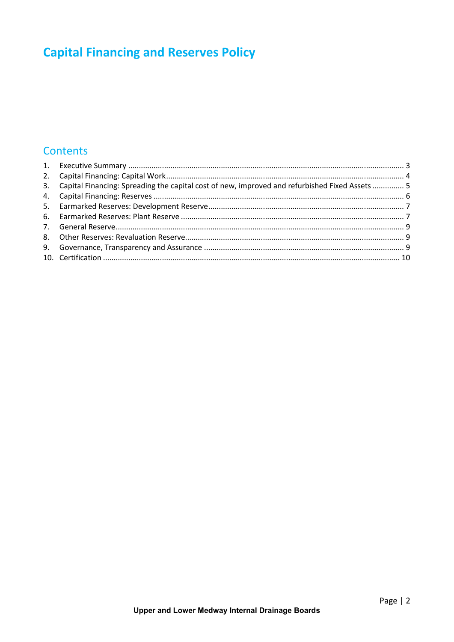#### **Contents**

| 3. Capital Financing: Spreading the capital cost of new, improved and refurbished Fixed Assets  5 |  |
|---------------------------------------------------------------------------------------------------|--|
|                                                                                                   |  |
|                                                                                                   |  |
|                                                                                                   |  |
|                                                                                                   |  |
|                                                                                                   |  |
|                                                                                                   |  |
|                                                                                                   |  |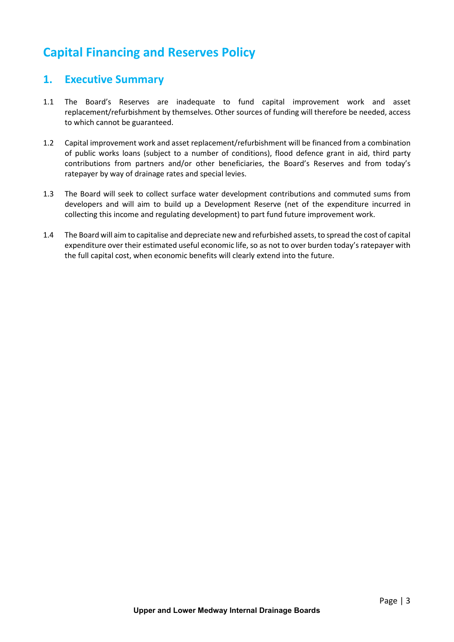#### <span id="page-2-0"></span>**1. Executive Summary**

- 1.1 The Board's Reserves are inadequate to fund capital improvement work and asset replacement/refurbishment by themselves. Other sources of funding will therefore be needed, access to which cannot be guaranteed.
- 1.2 Capital improvement work and asset replacement/refurbishment will be financed from a combination of public works loans (subject to a number of conditions), flood defence grant in aid, third party contributions from partners and/or other beneficiaries, the Board's Reserves and from today's ratepayer by way of drainage rates and special levies.
- 1.3 The Board will seek to collect surface water development contributions and commuted sums from developers and will aim to build up a Development Reserve (net of the expenditure incurred in collecting this income and regulating development) to part fund future improvement work.
- 1.4 The Board will aim to capitalise and depreciate new and refurbished assets, to spread the cost of capital expenditure over their estimated useful economic life, so as not to over burden today's ratepayer with the full capital cost, when economic benefits will clearly extend into the future.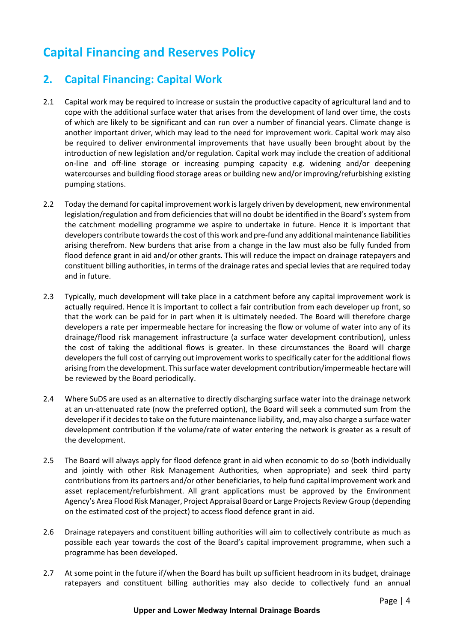### <span id="page-3-0"></span>**2. Capital Financing: Capital Work**

- 2.1 Capital work may be required to increase or sustain the productive capacity of agricultural land and to cope with the additional surface water that arises from the development of land over time, the costs of which are likely to be significant and can run over a number of financial years. Climate change is another important driver, which may lead to the need for improvement work. Capital work may also be required to deliver environmental improvements that have usually been brought about by the introduction of new legislation and/or regulation. Capital work may include the creation of additional on-line and off-line storage or increasing pumping capacity e.g. widening and/or deepening watercourses and building flood storage areas or building new and/or improving/refurbishing existing pumping stations.
- 2.2 Today the demand for capital improvement work is largely driven by development, new environmental legislation/regulation and from deficiencies that will no doubt be identified in the Board's system from the catchment modelling programme we aspire to undertake in future. Hence it is important that developers contribute towards the cost ofthis work and pre-fund any additional maintenance liabilities arising therefrom. New burdens that arise from a change in the law must also be fully funded from flood defence grant in aid and/or other grants. This will reduce the impact on drainage ratepayers and constituent billing authorities, in terms of the drainage rates and special levies that are required today and in future.
- 2.3 Typically, much development will take place in a catchment before any capital improvement work is actually required. Hence it is important to collect a fair contribution from each developer up front, so that the work can be paid for in part when it is ultimately needed. The Board will therefore charge developers a rate per impermeable hectare for increasing the flow or volume of water into any of its drainage/flood risk management infrastructure (a surface water development contribution), unless the cost of taking the additional flows is greater. In these circumstances the Board will charge developers the full cost of carrying out improvement works to specifically cater for the additional flows arising from the development. Thissurface water development contribution/impermeable hectare will be reviewed by the Board periodically.
- 2.4 Where SuDS are used as an alternative to directly discharging surface water into the drainage network at an un-attenuated rate (now the preferred option), the Board will seek a commuted sum from the developer if it decides to take on the future maintenance liability, and, may also charge a surface water development contribution if the volume/rate of water entering the network is greater as a result of the development.
- 2.5 The Board will always apply for flood defence grant in aid when economic to do so (both individually and jointly with other Risk Management Authorities, when appropriate) and seek third party contributions from its partners and/or other beneficiaries, to help fund capital improvement work and asset replacement/refurbishment. All grant applications must be approved by the Environment Agency's Area Flood Risk Manager, Project Appraisal Board or Large Projects Review Group (depending on the estimated cost of the project) to access flood defence grant in aid.
- 2.6 Drainage ratepayers and constituent billing authorities will aim to collectively contribute as much as possible each year towards the cost of the Board's capital improvement programme, when such a programme has been developed.
- 2.7 At some point in the future if/when the Board has built up sufficient headroom in its budget, drainage ratepayers and constituent billing authorities may also decide to collectively fund an annual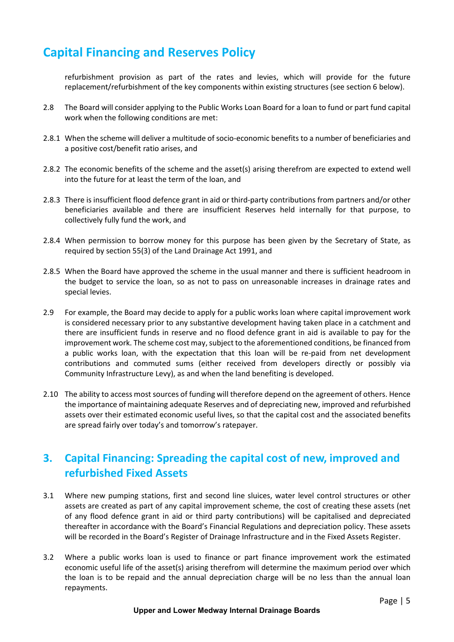refurbishment provision as part of the rates and levies, which will provide for the future replacement/refurbishment of the key components within existing structures (see section 6 below).

- 2.8 The Board will consider applying to the Public Works Loan Board for a loan to fund or part fund capital work when the following conditions are met:
- 2.8.1 When the scheme will deliver a multitude of socio-economic benefits to a number of beneficiaries and a positive cost/benefit ratio arises, and
- 2.8.2 The economic benefits of the scheme and the asset(s) arising therefrom are expected to extend well into the future for at least the term of the loan, and
- 2.8.3 There is insufficient flood defence grant in aid or third-party contributions from partners and/or other beneficiaries available and there are insufficient Reserves held internally for that purpose, to collectively fully fund the work, and
- 2.8.4 When permission to borrow money for this purpose has been given by the Secretary of State, as required by section 55(3) of the Land Drainage Act 1991, and
- 2.8.5 When the Board have approved the scheme in the usual manner and there is sufficient headroom in the budget to service the loan, so as not to pass on unreasonable increases in drainage rates and special levies.
- 2.9 For example, the Board may decide to apply for a public works loan where capital improvement work is considered necessary prior to any substantive development having taken place in a catchment and there are insufficient funds in reserve and no flood defence grant in aid is available to pay for the improvement work. The scheme cost may, subject to the aforementioned conditions, be financed from a public works loan, with the expectation that this loan will be re-paid from net development contributions and commuted sums (either received from developers directly or possibly via Community Infrastructure Levy), as and when the land benefiting is developed.
- 2.10 The ability to access most sources of funding will therefore depend on the agreement of others. Hence the importance of maintaining adequate Reserves and of depreciating new, improved and refurbished assets over their estimated economic useful lives, so that the capital cost and the associated benefits are spread fairly over today's and tomorrow's ratepayer.

## <span id="page-4-0"></span>**3. Capital Financing: Spreading the capital cost of new, improved and refurbished Fixed Assets**

- 3.1 Where new pumping stations, first and second line sluices, water level control structures or other assets are created as part of any capital improvement scheme, the cost of creating these assets (net of any flood defence grant in aid or third party contributions) will be capitalised and depreciated thereafter in accordance with the Board's Financial Regulations and depreciation policy. These assets will be recorded in the Board's Register of Drainage Infrastructure and in the Fixed Assets Register.
- 3.2 Where a public works loan is used to finance or part finance improvement work the estimated economic useful life of the asset(s) arising therefrom will determine the maximum period over which the loan is to be repaid and the annual depreciation charge will be no less than the annual loan repayments.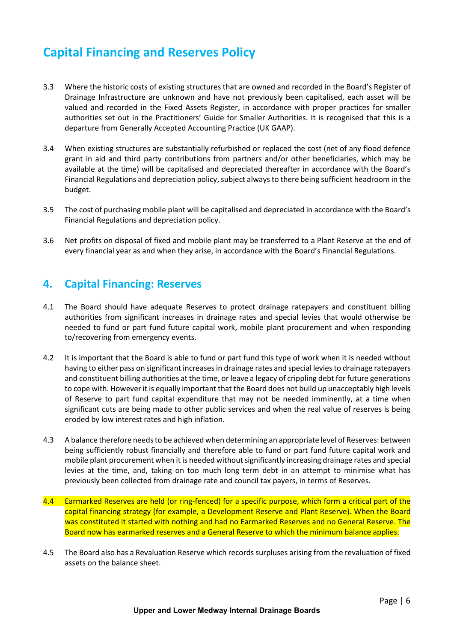- 3.3 Where the historic costs of existing structures that are owned and recorded in the Board's Register of Drainage Infrastructure are unknown and have not previously been capitalised, each asset will be valued and recorded in the Fixed Assets Register, in accordance with proper practices for smaller authorities set out in the Practitioners' Guide for Smaller Authorities. It is recognised that this is a departure from Generally Accepted Accounting Practice (UK GAAP).
- 3.4 When existing structures are substantially refurbished or replaced the cost (net of any flood defence grant in aid and third party contributions from partners and/or other beneficiaries, which may be available at the time) will be capitalised and depreciated thereafter in accordance with the Board's Financial Regulations and depreciation policy, subject always to there being sufficient headroom in the budget.
- 3.5 The cost of purchasing mobile plant will be capitalised and depreciated in accordance with the Board's Financial Regulations and depreciation policy.
- 3.6 Net profits on disposal of fixed and mobile plant may be transferred to a Plant Reserve at the end of every financial year as and when they arise, in accordance with the Board's Financial Regulations.

#### <span id="page-5-0"></span>**4. Capital Financing: Reserves**

- 4.1 The Board should have adequate Reserves to protect drainage ratepayers and constituent billing authorities from significant increases in drainage rates and special levies that would otherwise be needed to fund or part fund future capital work, mobile plant procurement and when responding to/recovering from emergency events.
- 4.2 It is important that the Board is able to fund or part fund this type of work when it is needed without having to either pass on significant increases in drainage rates and special levies to drainage ratepayers and constituent billing authorities at the time, or leave a legacy of crippling debt for future generations to cope with. However it is equally important that the Board does not build up unacceptably high levels of Reserve to part fund capital expenditure that may not be needed imminently, at a time when significant cuts are being made to other public services and when the real value of reserves is being eroded by low interest rates and high inflation.
- 4.3 A balance therefore needs to be achieved when determining an appropriate level of Reserves: between being sufficiently robust financially and therefore able to fund or part fund future capital work and mobile plant procurement when it is needed without significantly increasing drainage rates and special levies at the time, and, taking on too much long term debt in an attempt to minimise what has previously been collected from drainage rate and council tax payers, in terms of Reserves.
- 4.4 Earmarked Reserves are held (or ring-fenced) for a specific purpose, which form a critical part of the capital financing strategy (for example, a Development Reserve and Plant Reserve). When the Board was constituted it started with nothing and had no Earmarked Reserves and no General Reserve. The Board now has earmarked reserves and a General Reserve to which the minimum balance applies.
- 4.5 The Board also has a Revaluation Reserve which records surpluses arising from the revaluation of fixed assets on the balance sheet.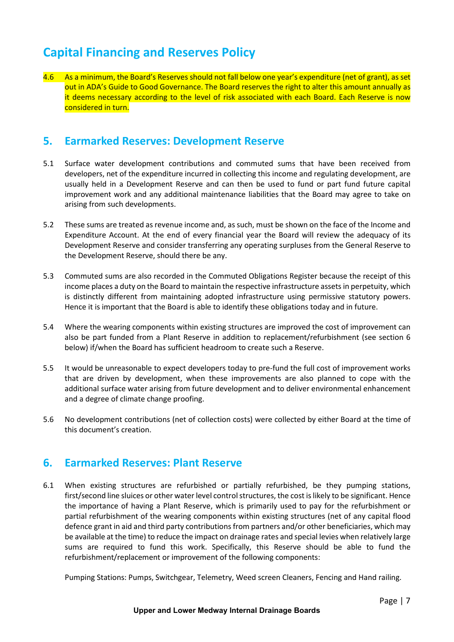4.6 As a minimum, the Board's Reserves should not fall below one year's expenditure (net of grant), as set out in ADA's Guide to Good Governance. The Board reserves the right to alter this amount annually as it deems necessary according to the level of risk associated with each Board. Each Reserve is now considered in turn.

#### <span id="page-6-0"></span>**5. Earmarked Reserves: Development Reserve**

- 5.1 Surface water development contributions and commuted sums that have been received from developers, net of the expenditure incurred in collecting this income and regulating development, are usually held in a Development Reserve and can then be used to fund or part fund future capital improvement work and any additional maintenance liabilities that the Board may agree to take on arising from such developments.
- 5.2 These sums are treated as revenue income and, as such, must be shown on the face of the Income and Expenditure Account. At the end of every financial year the Board will review the adequacy of its Development Reserve and consider transferring any operating surpluses from the General Reserve to the Development Reserve, should there be any.
- 5.3 Commuted sums are also recorded in the Commuted Obligations Register because the receipt of this income places a duty on the Board to maintain the respective infrastructure assets in perpetuity, which is distinctly different from maintaining adopted infrastructure using permissive statutory powers. Hence it is important that the Board is able to identify these obligations today and in future.
- 5.4 Where the wearing components within existing structures are improved the cost of improvement can also be part funded from a Plant Reserve in addition to replacement/refurbishment (see section 6 below) if/when the Board has sufficient headroom to create such a Reserve.
- 5.5 It would be unreasonable to expect developers today to pre-fund the full cost of improvement works that are driven by development, when these improvements are also planned to cope with the additional surface water arising from future development and to deliver environmental enhancement and a degree of climate change proofing.
- 5.6 No development contributions (net of collection costs) were collected by either Board at the time of this document's creation.

#### <span id="page-6-1"></span>**6. Earmarked Reserves: Plant Reserve**

6.1 When existing structures are refurbished or partially refurbished, be they pumping stations, first/second line sluices or other water level control structures, the cost is likely to be significant. Hence the importance of having a Plant Reserve, which is primarily used to pay for the refurbishment or partial refurbishment of the wearing components within existing structures (net of any capital flood defence grant in aid and third party contributions from partners and/or other beneficiaries, which may be available at the time) to reduce the impact on drainage rates and special levies when relatively large sums are required to fund this work. Specifically, this Reserve should be able to fund the refurbishment/replacement or improvement of the following components:

Pumping Stations: Pumps, Switchgear, Telemetry, Weed screen Cleaners, Fencing and Hand railing.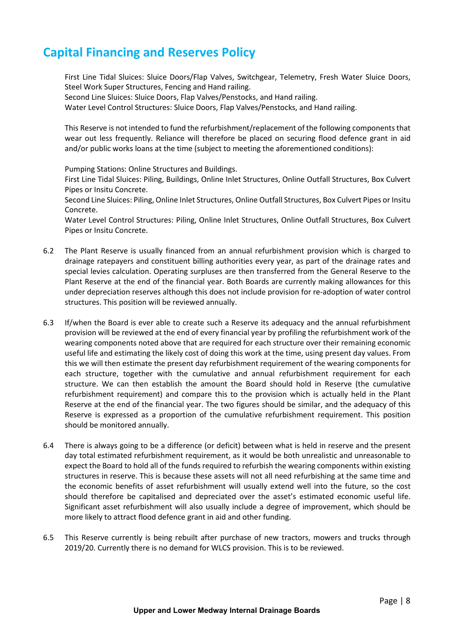First Line Tidal Sluices: Sluice Doors/Flap Valves, Switchgear, Telemetry, Fresh Water Sluice Doors, Steel Work Super Structures, Fencing and Hand railing.

Second Line Sluices: Sluice Doors, Flap Valves/Penstocks, and Hand railing.

Water Level Control Structures: Sluice Doors, Flap Valves/Penstocks, and Hand railing.

This Reserve is not intended to fund the refurbishment/replacement of the following components that wear out less frequently. Reliance will therefore be placed on securing flood defence grant in aid and/or public works loans at the time (subject to meeting the aforementioned conditions):

Pumping Stations: Online Structures and Buildings.

First Line Tidal Sluices: Piling, Buildings, Online Inlet Structures, Online Outfall Structures, Box Culvert Pipes or Insitu Concrete.

Second Line Sluices: Piling, Online Inlet Structures, Online Outfall Structures, Box Culvert Pipes or Insitu Concrete.

Water Level Control Structures: Piling, Online Inlet Structures, Online Outfall Structures, Box Culvert Pipes or Insitu Concrete.

- 6.2 The Plant Reserve is usually financed from an annual refurbishment provision which is charged to drainage ratepayers and constituent billing authorities every year, as part of the drainage rates and special levies calculation. Operating surpluses are then transferred from the General Reserve to the Plant Reserve at the end of the financial year. Both Boards are currently making allowances for this under depreciation reserves although this does not include provision for re-adoption of water control structures. This position will be reviewed annually.
- 6.3 If/when the Board is ever able to create such a Reserve its adequacy and the annual refurbishment provision will be reviewed at the end of every financial year by profiling the refurbishment work of the wearing components noted above that are required for each structure over their remaining economic useful life and estimating the likely cost of doing this work at the time, using present day values. From this we will then estimate the present day refurbishment requirement of the wearing components for each structure, together with the cumulative and annual refurbishment requirement for each structure. We can then establish the amount the Board should hold in Reserve (the cumulative refurbishment requirement) and compare this to the provision which is actually held in the Plant Reserve at the end of the financial year. The two figures should be similar, and the adequacy of this Reserve is expressed as a proportion of the cumulative refurbishment requirement. This position should be monitored annually.
- 6.4 There is always going to be a difference (or deficit) between what is held in reserve and the present day total estimated refurbishment requirement, as it would be both unrealistic and unreasonable to expect the Board to hold all of the funds required to refurbish the wearing components within existing structures in reserve. This is because these assets will not all need refurbishing at the same time and the economic benefits of asset refurbishment will usually extend well into the future, so the cost should therefore be capitalised and depreciated over the asset's estimated economic useful life. Significant asset refurbishment will also usually include a degree of improvement, which should be more likely to attract flood defence grant in aid and other funding.
- 6.5 This Reserve currently is being rebuilt after purchase of new tractors, mowers and trucks through 2019/20. Currently there is no demand for WLCS provision. This is to be reviewed.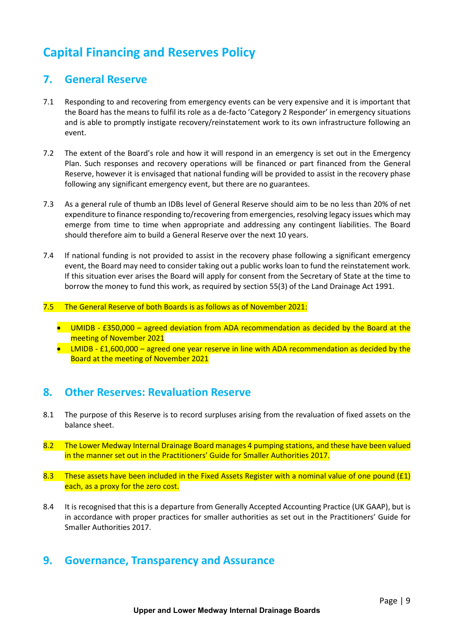#### <span id="page-8-0"></span>**7. General Reserve**

- 7.1 Responding to and recovering from emergency events can be very expensive and it is important that the Board has the means to fulfil its role as a de-facto 'Category 2 Responder' in emergency situations and is able to promptly instigate recovery/reinstatement work to its own infrastructure following an event.
- 7.2 The extent of the Board's role and how it will respond in an emergency is set out in the Emergency Plan. Such responses and recovery operations will be financed or part financed from the General Reserve, however it is envisaged that national funding will be provided to assist in the recovery phase following any significant emergency event, but there are no guarantees.
- 7.3 As a general rule of thumb an IDBs level of General Reserve should aim to be no less than 20% of net expenditure to finance responding to/recovering from emergencies, resolving legacy issues which may emerge from time to time when appropriate and addressing any contingent liabilities. The Board should therefore aim to build a General Reserve over the next 10 years.
- 7.4 If national funding is not provided to assist in the recovery phase following a significant emergency event, the Board may need to consider taking out a public works loan to fund the reinstatement work. If this situation ever arises the Board will apply for consent from the Secretary of State at the time to borrow the money to fund this work, as required by section 55(3) of the Land Drainage Act 1991.
- 7.5 The General Reserve of both Boards is as follows as of November 2021:
	- UMIDB £350,000 agreed deviation from ADA recommendation as decided by the Board at the meeting of November 2021
	- LMIDB £1,600,000 agreed one year reserve in line with ADA recommendation as decided by the Board at the meeting of November 2021

#### <span id="page-8-1"></span>**8. Other Reserves: Revaluation Reserve**

- 8.1 The purpose of this Reserve is to record surpluses arising from the revaluation of fixed assets on the balance sheet.
- 8.2 The Lower Medway Internal Drainage Board manages 4 pumping stations, and these have been valued in the manner set out in the Practitioners' Guide for Smaller Authorities 2017.
- 8.3 These assets have been included in the Fixed Assets Register with a nominal value of one pound (£1) each, as a proxy for the zero cost.
- 8.4 It is recognised that this is a departure from Generally Accepted Accounting Practice (UK GAAP), but is in accordance with proper practices for smaller authorities as set out in the Practitioners' Guide for Smaller Authorities 2017.

#### <span id="page-8-2"></span>**9. Governance, Transparency and Assurance**